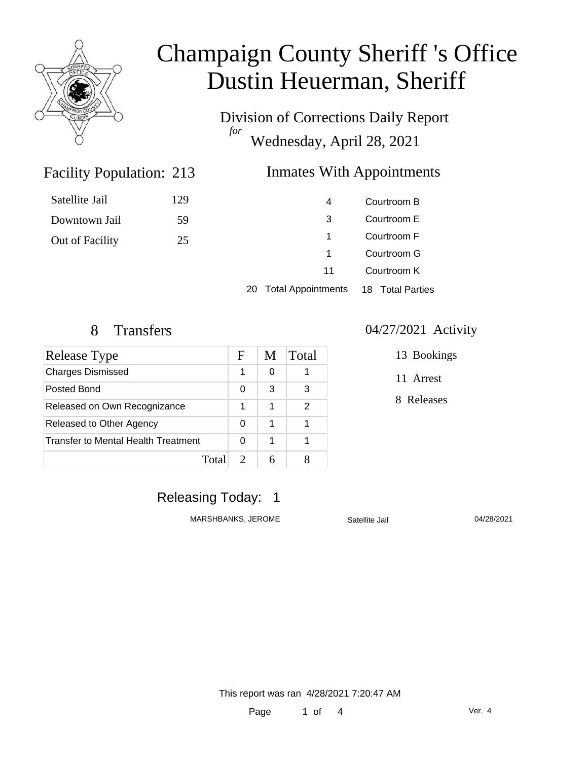

Division of Corrections Daily Report *for* Wednesday, April 28, 2021

#### Facility Population: 213 **Inmates With Appointments**

| Courtroom B      | 4                         |    |
|------------------|---------------------------|----|
| Courtroom E      | 3                         |    |
| Courtroom F      | 1                         |    |
| Courtroom G      | 1                         |    |
| Courtroom K      | 11                        |    |
| 18 Total Parties | <b>Total Appointments</b> | 20 |

Satellite Jail 129

Downtown Jail 59

Out of Facility 25

| Release Type                        | F | M | Total |
|-------------------------------------|---|---|-------|
| <b>Charges Dismissed</b>            |   | 0 |       |
| Posted Bond                         | 0 | 3 | 3     |
| Released on Own Recognizance        | 1 | 1 | 2     |
| Released to Other Agency            | 0 | 1 |       |
| Transfer to Mental Health Treatment | 0 | 1 |       |
| Total                               |   |   |       |

#### 8 Transfers 04/27/2021 Activity

13 Bookings

11 Arrest

8 Releases

### Releasing Today: 1

MARSHBANKS, JEROME Satellite Jail 04/28/2021

This report was ran 4/28/2021 7:20:47 AM

Page 1 of 4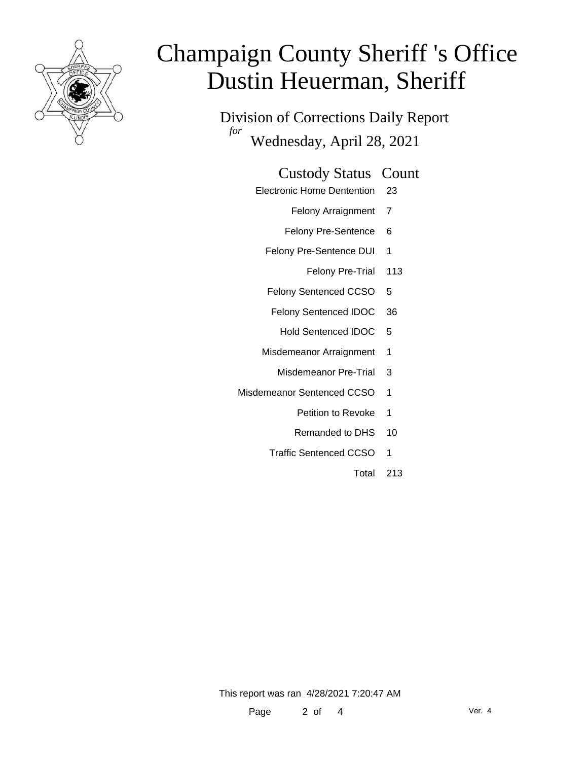

Division of Corrections Daily Report *for* Wednesday, April 28, 2021

#### Custody Status Count

- Electronic Home Dentention 23
	- Felony Arraignment 7
	- Felony Pre-Sentence 6
	- Felony Pre-Sentence DUI 1
		- Felony Pre-Trial 113
	- Felony Sentenced CCSO 5
	- Felony Sentenced IDOC 36
		- Hold Sentenced IDOC 5
	- Misdemeanor Arraignment 1
		- Misdemeanor Pre-Trial 3
- Misdemeanor Sentenced CCSO 1
	- Petition to Revoke 1
	- Remanded to DHS 10
	- Traffic Sentenced CCSO 1
		- Total 213

This report was ran 4/28/2021 7:20:47 AM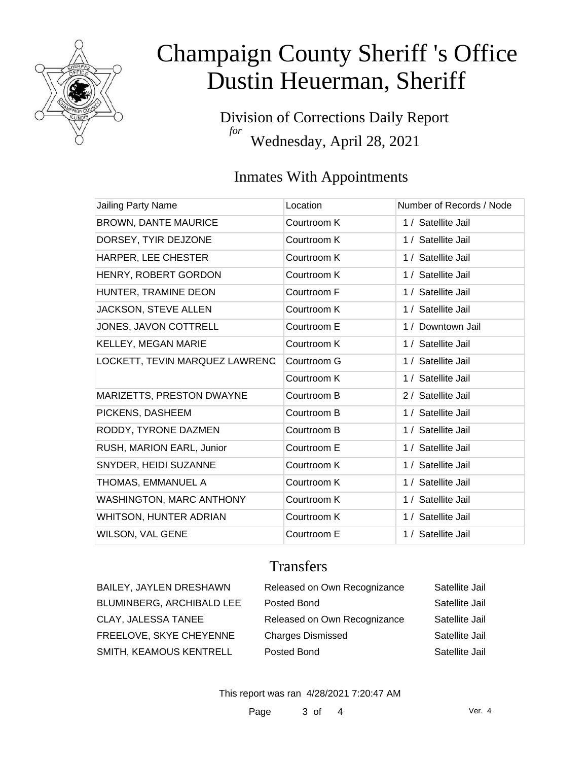

Division of Corrections Daily Report *for* Wednesday, April 28, 2021

### Inmates With Appointments

| Location    | Number of Records / Node |
|-------------|--------------------------|
| Courtroom K | 1 / Satellite Jail       |
| Courtroom K | 1 / Satellite Jail       |
| Courtroom K | 1 / Satellite Jail       |
| Courtroom K | 1 / Satellite Jail       |
| Courtroom F | 1 / Satellite Jail       |
| Courtroom K | 1 / Satellite Jail       |
| Courtroom E | 1 / Downtown Jail        |
| Courtroom K | 1 / Satellite Jail       |
| Courtroom G | 1 / Satellite Jail       |
| Courtroom K | 1 / Satellite Jail       |
| Courtroom B | 2 / Satellite Jail       |
| Courtroom B | 1 / Satellite Jail       |
| Courtroom B | 1 / Satellite Jail       |
| Courtroom E | 1 / Satellite Jail       |
| Courtroom K | 1 / Satellite Jail       |
| Courtroom K | 1 / Satellite Jail       |
| Courtroom K | 1 / Satellite Jail       |
| Courtroom K | 1 / Satellite Jail       |
| Courtroom E | 1 / Satellite Jail       |
|             |                          |

### **Transfers**

| BAILEY, JAYLEN DRESHAWN   | Released on Own Recognizance | Satellite Jail |
|---------------------------|------------------------------|----------------|
| BLUMINBERG, ARCHIBALD LEE | Posted Bond                  | Satellite Jail |
| CLAY, JALESSA TANEE       | Released on Own Recognizance | Satellite Jail |
| FREELOVE, SKYE CHEYENNE   | <b>Charges Dismissed</b>     | Satellite Jail |
| SMITH, KEAMOUS KENTRELL   | Posted Bond                  | Satellite Jail |

This report was ran 4/28/2021 7:20:47 AM